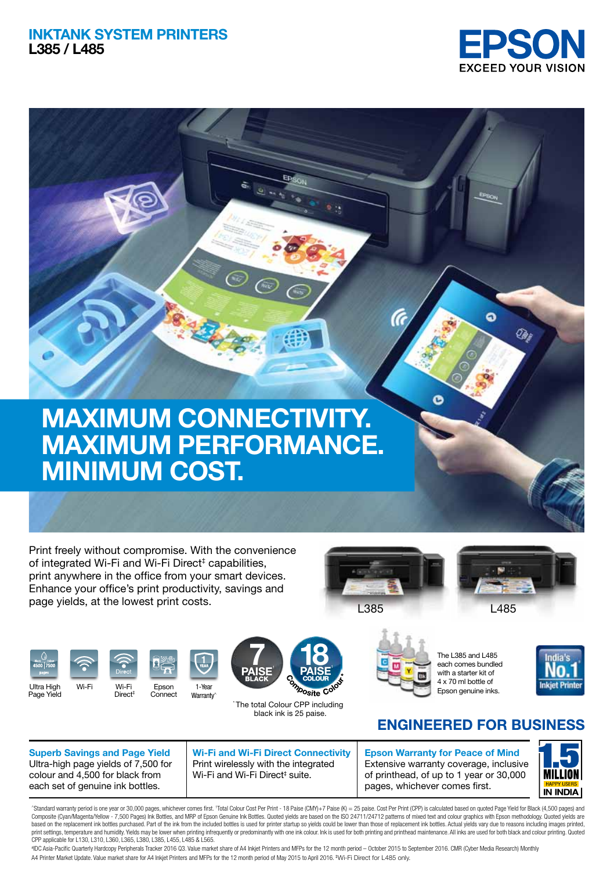## **INKTANK SYSTEM PRINTERS L385 / L485**





Print freely without compromise. With the convenience of integrated Wi-Fi and Wi-Fi Direct<sup>‡</sup> capabilities, print anywhere in the office from your smart devices. Enhance your office's print productivity, savings and page yields, at the lowest print costs.







Page Yield













The L385 and L485 each comes bundled with a starter kit of 4 x 70 ml bottle of Epson genuine inks.



## **FNGINFFRED FOR BUSINESS**

**Superb Savings and Page Yield** Ultra-high page yields of 7,500 for colour and 4,500 for black from each set of genuine ink bottles.

**Wi-Fi and Wi-Fi Direct Connectivity** Print wirelessly with the integrated Wi-Fi and Wi-Fi Direct<sup>‡</sup> suite.

**Epson Warranty for Peace of Mind** Extensive warranty coverage, inclusive of printhead, of up to 1 year or 30,000 pages, whichever comes first.



"Standard warranty period is one year or 30,000 pages, whichever comes first. 'Total Colour Cost Per Print - 18 Paise (CMY)+7 Paise (K) = 25 paise. Cost Per Print (CPP) is calculated based on quoted Page Yield for Black (4 Composite (Cyan/Magnita/Yellow - 7.500 Pages) Ink Bottles, and MRP of Eoson Genuine Ink Bottles. Quoted vields are based on the ISO 24711/24712 patterns of mixed text and colour graphics with Eoson methodology. Quoted viel based on the replacement link bottles purchased. Part of the link from the included bottles is used for printer startup so yields could be lower than those of replacement ink bottles. Actual yields vary due to reasons incl print setlings, temperature and umridity, Wells may be bower when printempth of predominantly with one ink colour. Ink is used for both printing and printhead maintenance. All inks are used for both black and colour printi

# IDC Asia-Pacific Quarterly Hardcopy Peripherals Tracker 2016 Q3. Value market share of A4 Inkjet Printers and MFPs for the 12 month period – October 2015 to September 2016. CMR (Cyber Media Research) Monthly A4 Printer Market Update. Value market share for A4 Inkjet Printers and MFPs for the 12 month period of May 2015 to April 2016. ‡ Wi-Fi Direct for L485 only.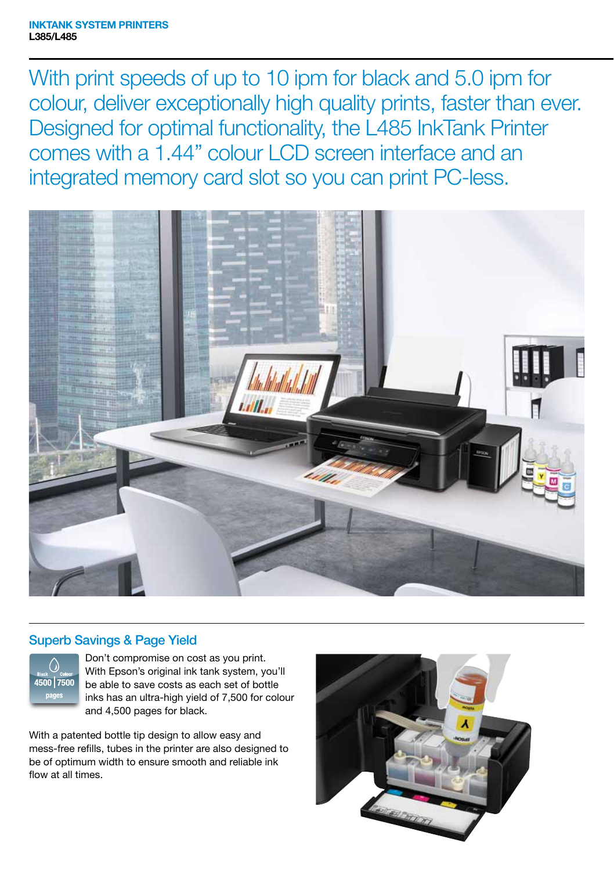With print speeds of up to 10 ipm for black and 5.0 ipm for colour, deliver exceptionally high quality prints, faster than ever. Designed for optimal functionality, the L485 InkTank Printer comes with a 1.44" colour LCD screen interface and an integrated memory card slot so you can print PC-less.



## Superb Savings & Page Yield



Don't compromise on cost as you print. With Epson's original ink tank system, you'll be able to save costs as each set of bottle inks has an ultra-high yield of 7,500 for colour and 4,500 pages for black.

With a patented bottle tip design to allow easy and mess-free refills, tubes in the printer are also designed to be of optimum width to ensure smooth and reliable ink flow at all times.

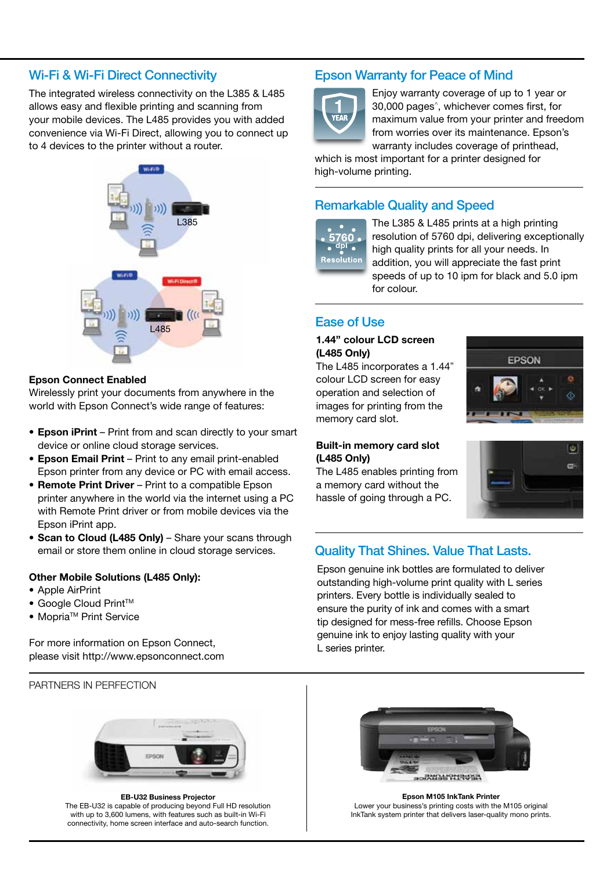## Wi-Fi & Wi-Fi Direct Connectivity

The integrated wireless connectivity on the L385 & L485 allows easy and flexible printing and scanning from your mobile devices. The L485 provides you with added convenience via Wi-Fi Direct, allowing you to connect up to 4 devices to the printer without a router.



## **Epson Connect Enabled**

Wirelessly print your documents from anywhere in the world with Epson Connect's wide range of features:

- **Epson iPrint** Print from and scan directly to your smart device or online cloud storage services.
- **Epson Email Print** Print to any email print-enabled Epson printer from any device or PC with email access.
- **Remote Print Driver** Print to a compatible Epson printer anywhere in the world via the internet using a PC with Remote Print driver or from mobile devices via the Epson iPrint app.
- **Scan to Cloud (L485 Only)** Share your scans through email or store them online in cloud storage services.

### **Other Mobile Solutions (L485 Only):**

- Apple AirPrint
- Google Cloud Print<sup>™</sup>
- Mopria<sup>™</sup> Print Service

For more information on Epson Connect, please visit http://www.epsonconnect.com

PARTNERS IN PERFECTION



**EB-U32 Business Projector** The EB-U32 is capable of producing beyond Full HD resolution with up to 3,600 lumens, with features such as built-in Wi-Fi connectivity, home screen interface and auto-search function.

## Epson Warranty for Peace of Mind



Enjoy warranty coverage of up to 1 year or 30,000 pages^, whichever comes first, for maximum value from your printer and freedom from worries over its maintenance. Epson's warranty includes coverage of printhead,

which is most important for a printer designed for high-volume printing.

## Remarkable Quality and Speed



The L385 & L485 prints at a high printing resolution of 5760 dpi, delivering exceptionally high quality prints for all your needs. In addition, you will appreciate the fast print speeds of up to 10 ipm for black and 5.0 ipm for colour.

## **1.44" colour LCD screen (L485 Only)**

The L485 incorporates a 1.44" colour LCD screen for easy operation and selection of images for printing from the memory card slot.



The L485 enables printing from a memory card without the hassle of going through a PC.



# l dal m.

## Quality That Shines. Value That Lasts.

Epson genuine ink bottles are formulated to deliver outstanding high-volume print quality with L series printers. Every bottle is individually sealed to ensure the purity of ink and comes with a smart tip designed for mess-free refills. Choose Epson genuine ink to enjoy lasting quality with your L series printer.



**Epson M105 InkTank Printer** Lower your business's printing costs with the M105 original InkTank system printer that delivers laser-quality mono prints.